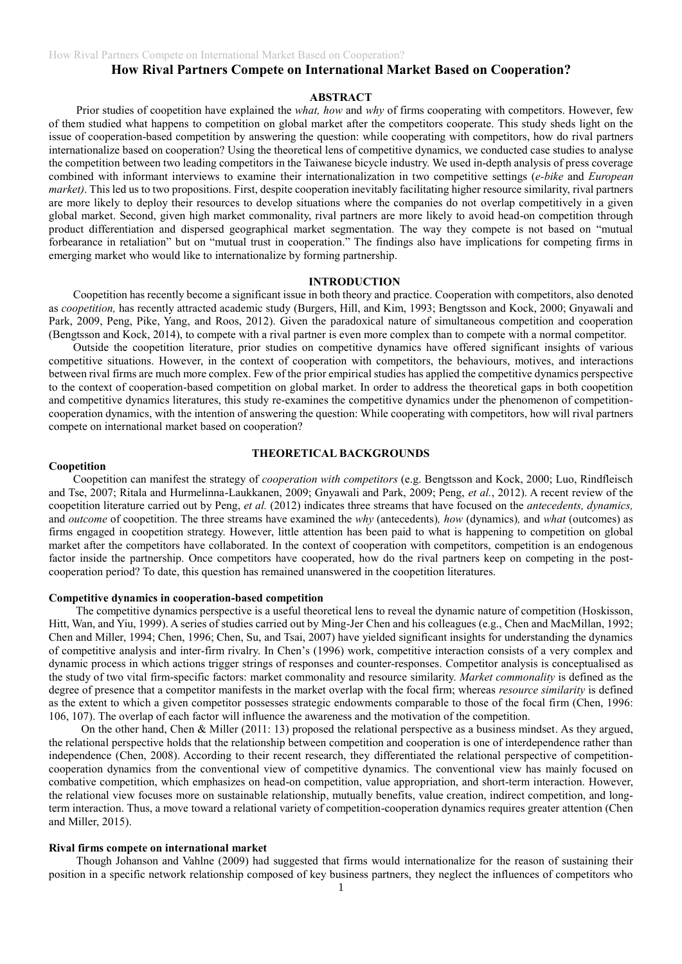# **How Rival Partners Compete on International Market Based on Cooperation?**

# **ABSTRACT**

Prior studies of coopetition have explained the *what, how* and *why* of firms cooperating with competitors. However, few of them studied what happens to competition on global market after the competitors cooperate. This study sheds light on the issue of cooperation-based competition by answering the question: while cooperating with competitors, how do rival partners internationalize based on cooperation? Using the theoretical lens of competitive dynamics, we conducted case studies to analyse the competition between two leading competitors in the Taiwanese bicycle industry. We used in-depth analysis of press coverage combined with informant interviews to examine their internationalization in two competitive settings (*e-bike* and *European market)*. This led us to two propositions. First, despite cooperation inevitably facilitating higher resource similarity, rival partners are more likely to deploy their resources to develop situations where the companies do not overlap competitively in a given global market. Second, given high market commonality, rival partners are more likely to avoid head-on competition through product differentiation and dispersed geographical market segmentation. The way they compete is not based on "mutual forbearance in retaliation" but on "mutual trust in cooperation." The findings also have implications for competing firms in emerging market who would like to internationalize by forming partnership.

# **INTRODUCTION**

Coopetition has recently become a significant issue in both theory and practice. Cooperation with competitors, also denoted as *coopetition,* has recently attracted academic study (Burgers, Hill, and Kim, 1993; Bengtsson and Kock, 2000; Gnyawali and Park, 2009, Peng, Pike, Yang, and Roos, 2012). Given the paradoxical nature of simultaneous competition and cooperation (Bengtsson and Kock, 2014), to compete with a rival partner is even more complex than to compete with a normal competitor.

Outside the coopetition literature, prior studies on competitive dynamics have offered significant insights of various competitive situations. However, in the context of cooperation with competitors, the behaviours, motives, and interactions between rival firms are much more complex. Few of the prior empirical studies has applied the competitive dynamics perspective to the context of cooperation-based competition on global market. In order to address the theoretical gaps in both coopetition and competitive dynamics literatures, this study re-examines the competitive dynamics under the phenomenon of competitioncooperation dynamics, with the intention of answering the question: While cooperating with competitors, how will rival partners compete on international market based on cooperation?

# **THEORETICAL BACKGROUNDS**

#### **Coopetition**

Coopetition can manifest the strategy of *cooperation with competitors* (e.g. Bengtsson and Kock, 2000; Luo, Rindfleisch and Tse, 2007; Ritala and Hurmelinna-Laukkanen, 2009; Gnyawali and Park, 2009; Peng, *et al.*, 2012). A recent review of the coopetition literature carried out by Peng, *et al.* (2012) indicates three streams that have focused on the *antecedents, dynamics,* and *outcome* of coopetition. The three streams have examined the *why* (antecedents)*, how* (dynamics)*,* and *what* (outcomes) as firms engaged in coopetition strategy. However, little attention has been paid to what is happening to competition on global market after the competitors have collaborated. In the context of cooperation with competitors, competition is an endogenous factor inside the partnership. Once competitors have cooperated, how do the rival partners keep on competing in the postcooperation period? To date, this question has remained unanswered in the coopetition literatures.

# **Competitive dynamics in cooperation-based competition**

The competitive dynamics perspective is a useful theoretical lens to reveal the dynamic nature of competition (Hoskisson, Hitt, Wan, and Yiu, 1999). A series of studies carried out by Ming-Jer Chen and his colleagues (e.g., Chen and MacMillan, 1992; Chen and Miller, 1994; Chen, 1996; Chen, Su, and Tsai, 2007) have yielded significant insights for understanding the dynamics of competitive analysis and inter-firm rivalry. In Chen's (1996) work, competitive interaction consists of a very complex and dynamic process in which actions trigger strings of responses and counter-responses. Competitor analysis is conceptualised as the study of two vital firm-specific factors: market commonality and resource similarity. *Market commonality* is defined as the degree of presence that a competitor manifests in the market overlap with the focal firm; whereas *resource similarity* is defined as the extent to which a given competitor possesses strategic endowments comparable to those of the focal firm (Chen, 1996: 106, 107). The overlap of each factor will influence the awareness and the motivation of the competition.

On the other hand, Chen & Miller (2011: 13) proposed the relational perspective as a business mindset. As they argued, the relational perspective holds that the relationship between competition and cooperation is one of interdependence rather than independence (Chen, 2008). According to their recent research, they differentiated the relational perspective of competitioncooperation dynamics from the conventional view of competitive dynamics. The conventional view has mainly focused on combative competition, which emphasizes on head-on competition, value appropriation, and short-term interaction. However, the relational view focuses more on sustainable relationship, mutually benefits, value creation, indirect competition, and longterm interaction. Thus, a move toward a relational variety of competition-cooperation dynamics requires greater attention (Chen and Miller, 2015).

# **Rival firms compete on international market**

Though Johanson and Vahlne (2009) had suggested that firms would internationalize for the reason of sustaining their position in a specific network relationship composed of key business partners, they neglect the influences of competitors who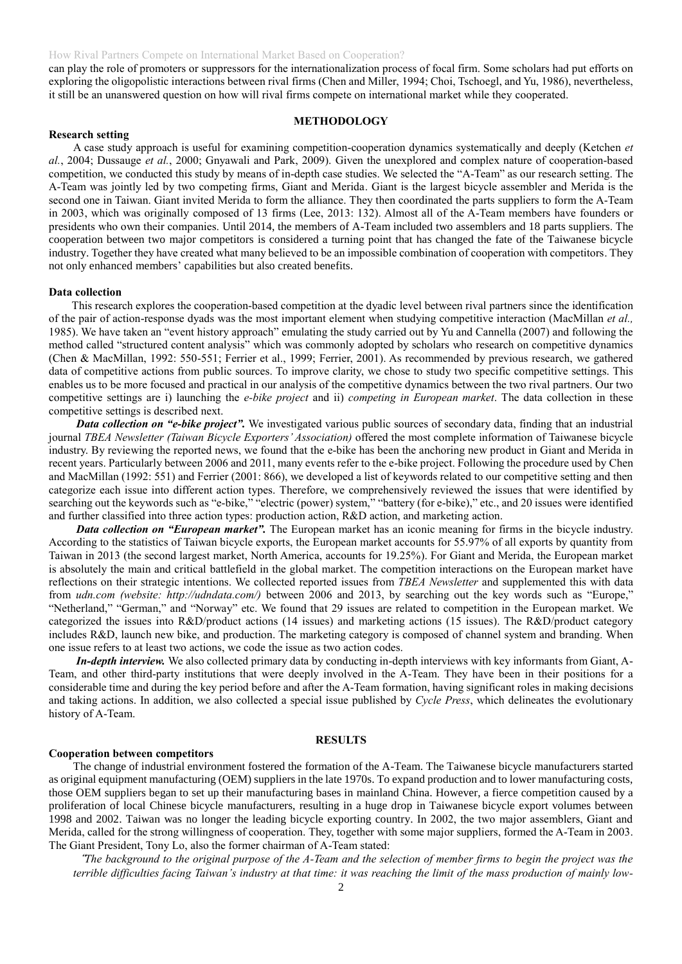can play the role of promoters or suppressors for the internationalization process of focal firm. Some scholars had put efforts on exploring the oligopolistic interactions between rival firms (Chen and Miller, 1994; Choi, Tschoegl, and Yu, 1986), nevertheless, it still be an unanswered question on how will rival firms compete on international market while they cooperated.

### **METHODOLOGY**

# **Research setting**

A case study approach is useful for examining competition-cooperation dynamics systematically and deeply (Ketchen *et al.*, 2004; Dussauge *et al.*, 2000; Gnyawali and Park, 2009). Given the unexplored and complex nature of cooperation-based competition, we conducted this study by means of in-depth case studies. We selected the "A-Team" as our research setting. The A-Team was jointly led by two competing firms, Giant and Merida. Giant is the largest bicycle assembler and Merida is the second one in Taiwan. Giant invited Merida to form the alliance. They then coordinated the parts suppliers to form the A-Team in 2003, which was originally composed of 13 firms (Lee, 2013: 132). Almost all of the A-Team members have founders or presidents who own their companies. Until 2014, the members of A-Team included two assemblers and 18 parts suppliers. The cooperation between two major competitors is considered a turning point that has changed the fate of the Taiwanese bicycle industry. Together they have created what many believed to be an impossible combination of cooperation with competitors. They not only enhanced members' capabilities but also created benefits.

#### **Data collection**

This research explores the cooperation-based competition at the dyadic level between rival partners since the identification of the pair of action-response dyads was the most important element when studying competitive interaction (MacMillan *et al.,* 1985). We have taken an "event history approach" emulating the study carried out by Yu and Cannella (2007) and following the method called "structured content analysis" which was commonly adopted by scholars who research on competitive dynamics (Chen & MacMillan, 1992: 550-551; Ferrier et al., 1999; Ferrier, 2001). As recommended by previous research, we gathered data of competitive actions from public sources. To improve clarity, we chose to study two specific competitive settings. This enables us to be more focused and practical in our analysis of the competitive dynamics between the two rival partners. Our two competitive settings are i) launching the *e-bike project* and ii) *competing in European market*. The data collection in these competitive settings is described next.

*Data collection on "e-bike project".* We investigated various public sources of secondary data, finding that an industrial journal *TBEA Newsletter (Taiwan Bicycle Exporters' Association)* offered the most complete information of Taiwanese bicycle industry. By reviewing the reported news, we found that the e-bike has been the anchoring new product in Giant and Merida in recent years. Particularly between 2006 and 2011, many events refer to the e-bike project. Following the procedure used by Chen and MacMillan (1992: 551) and Ferrier (2001: 866), we developed a list of keywords related to our competitive setting and then categorize each issue into different action types. Therefore, we comprehensively reviewed the issues that were identified by searching out the keywords such as "e-bike," "electric (power) system," "battery (for e-bike)," etc., and 20 issues were identified and further classified into three action types: production action, R&D action, and marketing action.

*Data collection on "European market".* The European market has an iconic meaning for firms in the bicycle industry. According to the statistics of Taiwan bicycle exports, the European market accounts for 55.97% of all exports by quantity from Taiwan in 2013 (the second largest market, North America, accounts for 19.25%). For Giant and Merida, the European market is absolutely the main and critical battlefield in the global market. The competition interactions on the European market have reflections on their strategic intentions. We collected reported issues from *TBEA Newsletter* and supplemented this with data from *udn.com (website: http://udndata.com/)* between 2006 and 2013, by searching out the key words such as "Europe," "Netherland," "German," and "Norway" etc. We found that 29 issues are related to competition in the European market. We categorized the issues into R&D/product actions (14 issues) and marketing actions (15 issues). The R&D/product category includes R&D, launch new bike, and production. The marketing category is composed of channel system and branding. When one issue refers to at least two actions, we code the issue as two action codes.

*In-depth interview.* We also collected primary data by conducting in-depth interviews with key informants from Giant, A-Team, and other third-party institutions that were deeply involved in the A-Team. They have been in their positions for a considerable time and during the key period before and after the A-Team formation, having significant roles in making decisions and taking actions. In addition, we also collected a special issue published by *Cycle Press*, which delineates the evolutionary history of A-Team.

### **RESULTS**

#### **Cooperation between competitors**

The change of industrial environment fostered the formation of the A-Team. The Taiwanese bicycle manufacturers started as original equipment manufacturing (OEM) suppliers in the late 1970s. To expand production and to lower manufacturing costs, those OEM suppliers began to set up their manufacturing bases in mainland China. However, a fierce competition caused by a proliferation of local Chinese bicycle manufacturers, resulting in a huge drop in Taiwanese bicycle export volumes between 1998 and 2002. Taiwan was no longer the leading bicycle exporting country. In 2002, the two major assemblers, Giant and Merida, called for the strong willingness of cooperation. They, together with some major suppliers, formed the A-Team in 2003. The Giant President, Tony Lo, also the former chairman of A-Team stated:

"*The background to the original purpose of the A-Team and the selection of member firms to begin the project was the terrible difficulties facing Taiwan's industry at that time: it was reaching the limit of the mass production of mainly low-*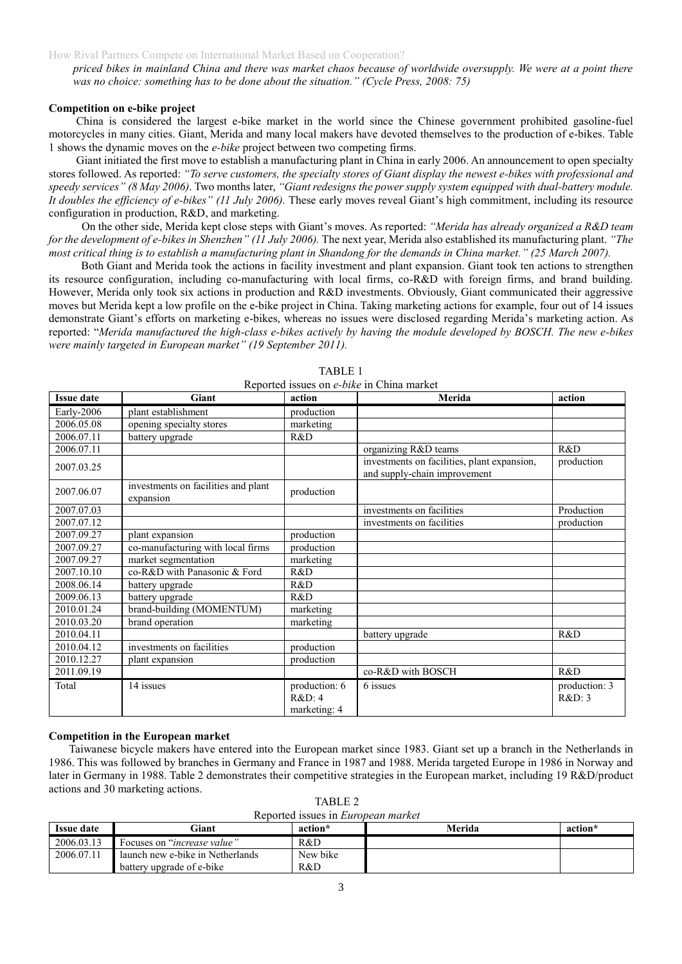*priced bikes in mainland China and there was market chaos because of worldwide oversupply. We were at a point there was no choice: something has to be done about the situation." (Cycle Press, 2008: 75)*

## **Competition on e-bike project**

China is considered the largest e-bike market in the world since the Chinese government prohibited gasoline-fuel motorcycles in many cities. Giant, Merida and many local makers have devoted themselves to the production of e-bikes. Table 1 shows the dynamic moves on the *e-bike* project between two competing firms.

Giant initiated the first move to establish a manufacturing plant in China in early 2006. An announcement to open specialty stores followed. As reported: *"To serve customers, the specialty stores of Giant display the newest e-bikes with professional and speedy services" (8 May 2006)*. Two months later, *"Giant redesigns the power supply system equipped with dual-battery module. It doubles the efficiency of e-bikes" (11 July 2006).* These early moves reveal Giant's high commitment, including its resource configuration in production, R&D, and marketing.

On the other side, Merida kept close steps with Giant's moves. As reported: *"Merida has already organized a R&D team for the development of e-bikes in Shenzhen" (11 July 2006).* The next year, Merida also established its manufacturing plant. *"The most critical thing is to establish a manufacturing plant in Shandong for the demands in China market." (25 March 2007).*

Both Giant and Merida took the actions in facility investment and plant expansion. Giant took ten actions to strengthen its resource configuration, including co-manufacturing with local firms, co-R&D with foreign firms, and brand building. However, Merida only took six actions in production and R&D investments. Obviously, Giant communicated their aggressive moves but Merida kept a low profile on the e-bike project in China. Taking marketing actions for example, four out of 14 issues demonstrate Giant's efforts on marketing e-bikes, whereas no issues were disclosed regarding Merida's marketing action. As reported: "*Merida manufactured the high-class e-bikes actively by having the module developed by BOSCH. The new e-bikes were mainly targeted in European market" (19 September 2011).* 

| <b>Issue date</b> | Giant                                            | action                                 | Reported issues on e- <i>owe</i> in China market<br>Merida                  | action                  |
|-------------------|--------------------------------------------------|----------------------------------------|-----------------------------------------------------------------------------|-------------------------|
| Early-2006        | plant establishment                              | production                             |                                                                             |                         |
| 2006.05.08        | opening specialty stores                         | marketing                              |                                                                             |                         |
| 2006.07.11        | battery upgrade                                  | R&D                                    |                                                                             |                         |
| 2006.07.11        |                                                  |                                        | organizing R&D teams                                                        | R&D                     |
| 2007.03.25        |                                                  |                                        | investments on facilities, plant expansion,<br>and supply-chain improvement | production              |
| 2007.06.07        | investments on facilities and plant<br>expansion | production                             |                                                                             |                         |
| 2007.07.03        |                                                  |                                        | investments on facilities                                                   | Production              |
| 2007.07.12        |                                                  |                                        | investments on facilities                                                   | production              |
| 2007.09.27        | plant expansion                                  | production                             |                                                                             |                         |
| 2007.09.27        | co-manufacturing with local firms                | production                             |                                                                             |                         |
| 2007.09.27        | market segmentation                              | marketing                              |                                                                             |                         |
| 2007.10.10        | co-R&D with Panasonic & Ford                     | R&D                                    |                                                                             |                         |
| 2008.06.14        | battery upgrade                                  | R&D                                    |                                                                             |                         |
| 2009.06.13        | battery upgrade                                  | R&D                                    |                                                                             |                         |
| 2010.01.24        | brand-building (MOMENTUM)                        | marketing                              |                                                                             |                         |
| 2010.03.20        | brand operation                                  | marketing                              |                                                                             |                         |
| 2010.04.11        |                                                  |                                        | battery upgrade                                                             | R&D                     |
| 2010.04.12        | investments on facilities                        | production                             |                                                                             |                         |
| 2010.12.27        | plant expansion                                  | production                             |                                                                             |                         |
| 2011.09.19        |                                                  |                                        | co-R&D with BOSCH                                                           | R&D                     |
| Total             | 14 issues                                        | production: 6<br>R&D:4<br>marketing: 4 | 6 issues                                                                    | production: 3<br>R&D: 3 |

TABLE 1 Reported issues on *e-bike* in China market

### **Competition in the European market**

Taiwanese bicycle makers have entered into the European market since 1983. Giant set up a branch in the Netherlands in 1986. This was followed by branches in Germany and France in 1987 and 1988. Merida targeted Europe in 1986 in Norway and later in Germany in 1988. Table 2 demonstrates their competitive strategies in the European market, including 19 R&D/product actions and 30 marketing actions.

TABLE 2 Reported issues in *European market*

| Reported issues in <i>European market</i> |                                      |          |        |         |  |  |  |
|-------------------------------------------|--------------------------------------|----------|--------|---------|--|--|--|
| <b>Issue date</b>                         | $\Gamma$ iant                        | action*  | Merida | action* |  |  |  |
| 2006.03.13                                | Focuses on " <i>increase value</i> " | R&D      |        |         |  |  |  |
| 2006.07.11                                | launch new e-bike in Netherlands     | New bike |        |         |  |  |  |
|                                           | battery upgrade of e-bike            | R&D      |        |         |  |  |  |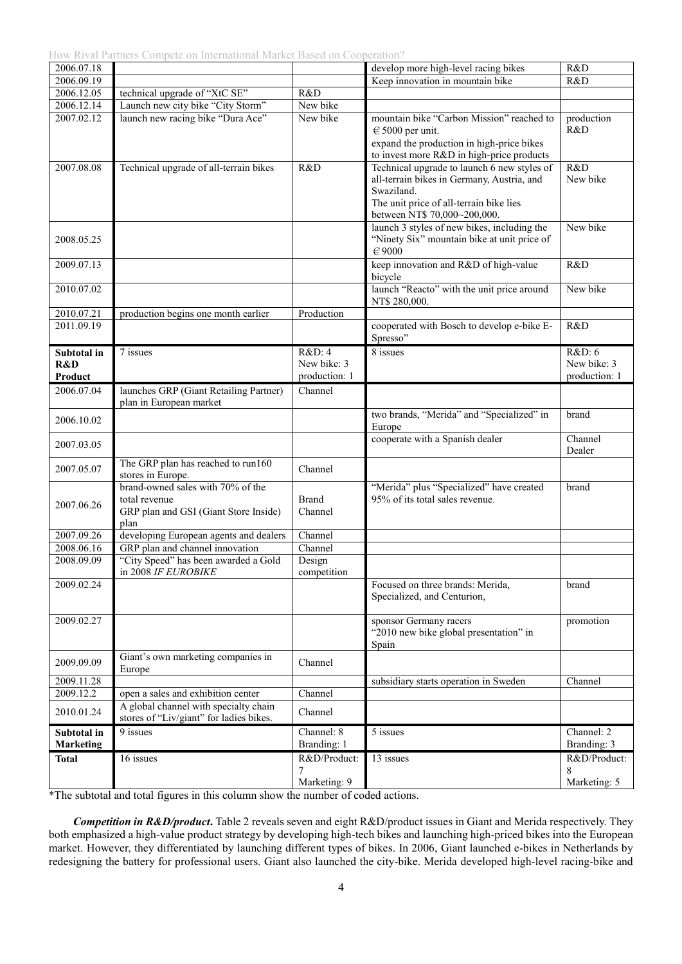How Rival Partners Compete on International Market Based on Cooperation?

| 2006.07.18       |                                                                                                     |                         | develop more high-level racing bikes                                                                                                                                               | R&D               |
|------------------|-----------------------------------------------------------------------------------------------------|-------------------------|------------------------------------------------------------------------------------------------------------------------------------------------------------------------------------|-------------------|
| 2006.09.19       |                                                                                                     |                         | Keep innovation in mountain bike                                                                                                                                                   | R&D               |
| 2006.12.05       | technical upgrade of "XtC SE"                                                                       | R&D                     |                                                                                                                                                                                    |                   |
| 2006.12.14       | Launch new city bike "City Storm"                                                                   | New bike                |                                                                                                                                                                                    |                   |
| 2007.02.12       | launch new racing bike "Dura Ace"                                                                   | New bike                | mountain bike "Carbon Mission" reached to<br>$\in$ 5000 per unit.<br>expand the production in high-price bikes                                                                     | production<br>R&D |
|                  |                                                                                                     |                         | to invest more R&D in high-price products                                                                                                                                          |                   |
| 2007.08.08       | Technical upgrade of all-terrain bikes                                                              | R&D                     | Technical upgrade to launch 6 new styles of<br>all-terrain bikes in Germany, Austria, and<br>Swaziland.<br>The unit price of all-terrain bike lies<br>between NT\$ 70,000~200,000. | R&D<br>New bike   |
| 2008.05.25       |                                                                                                     |                         | launch 3 styles of new bikes, including the<br>"Ninety Six" mountain bike at unit price of<br>$\in 9000$                                                                           | New bike          |
| 2009.07.13       |                                                                                                     |                         | keep innovation and R&D of high-value<br>bicycle                                                                                                                                   | R&D               |
| 2010.07.02       |                                                                                                     |                         | launch "Reacto" with the unit price around<br>NT\$ 280,000.                                                                                                                        | New bike          |
| 2010.07.21       | production begins one month earlier                                                                 | Production              |                                                                                                                                                                                    |                   |
| 2011.09.19       |                                                                                                     |                         | cooperated with Bosch to develop e-bike E-<br>Spresso"                                                                                                                             | R&D               |
| Subtotal in      | 7 issues                                                                                            | R&D:4                   | 8 issues                                                                                                                                                                           | R&D: 6            |
| R&D              |                                                                                                     | New bike: 3             |                                                                                                                                                                                    | New bike: 3       |
| Product          |                                                                                                     | production: 1           |                                                                                                                                                                                    | production: 1     |
| 2006.07.04       | launches GRP (Giant Retailing Partner)<br>plan in European market                                   | Channel                 |                                                                                                                                                                                    |                   |
| 2006.10.02       |                                                                                                     |                         | two brands, "Merida" and "Specialized" in<br>Europe                                                                                                                                | brand             |
| 2007.03.05       |                                                                                                     |                         | cooperate with a Spanish dealer                                                                                                                                                    | Channel<br>Dealer |
| 2007.05.07       | The GRP plan has reached to run160<br>stores in Europe.                                             | Channel                 |                                                                                                                                                                                    |                   |
| 2007.06.26       | brand-owned sales with 70% of the<br>total revenue<br>GRP plan and GSI (Giant Store Inside)<br>plan | <b>Brand</b><br>Channel | "Merida" plus "Specialized" have created<br>95% of its total sales revenue.                                                                                                        | brand             |
| 2007.09.26       | developing European agents and dealers                                                              | Channel                 |                                                                                                                                                                                    |                   |
| 2008.06.16       | GRP plan and channel innovation                                                                     | Channel                 |                                                                                                                                                                                    |                   |
| 2008.09.09       | "City Speed" has been awarded a Gold<br>in 2008 IF EUROBIKE                                         | Design<br>competition   |                                                                                                                                                                                    |                   |
| 2009.02.24       |                                                                                                     |                         | Focused on three brands: Merida,<br>Specialized, and Centurion,                                                                                                                    | brand             |
| 2009.02.27       |                                                                                                     |                         | sponsor Germany racers<br>"2010 new bike global presentation" in<br>Spain                                                                                                          | promotion         |
| 2009.09.09       | Giant's own marketing companies in<br>Europe                                                        | Channel                 |                                                                                                                                                                                    |                   |
| 2009.11.28       |                                                                                                     |                         | subsidiary starts operation in Sweden                                                                                                                                              | Channel           |
| 2009.12.2        | open a sales and exhibition center                                                                  | Channel                 |                                                                                                                                                                                    |                   |
| 2010.01.24       | A global channel with specialty chain<br>stores of "Liv/giant" for ladies bikes.                    | Channel                 |                                                                                                                                                                                    |                   |
| Subtotal in      | 9 issues                                                                                            | Channel: 8              | 5 issues                                                                                                                                                                           | Channel: 2        |
| <b>Marketing</b> |                                                                                                     | Branding: 1             |                                                                                                                                                                                    | Branding: 3       |
| <b>Total</b>     | 16 issues                                                                                           | R&D/Product:<br>7       | 13 issues                                                                                                                                                                          | R&D/Product:<br>8 |
|                  |                                                                                                     | Marketing: 9            |                                                                                                                                                                                    | Marketing: 5      |

\*The subtotal and total figures in this column show the number of coded actions.

*Competition in R&D/product*. Table 2 reveals seven and eight R&D/product issues in Giant and Merida respectively. They both emphasized a high-value product strategy by developing high-tech bikes and launching high-priced bikes into the European market. However, they differentiated by launching different types of bikes. In 2006, Giant launched e-bikes in Netherlands by redesigning the battery for professional users. Giant also launched the city-bike. Merida developed high-level racing-bike and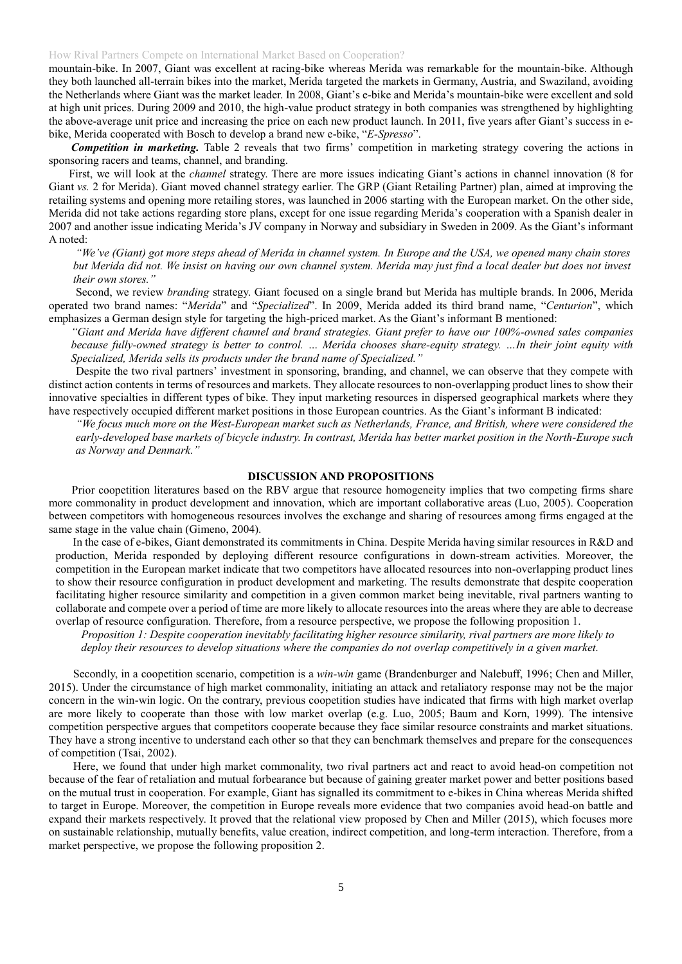mountain-bike. In 2007, Giant was excellent at racing-bike whereas Merida was remarkable for the mountain-bike. Although they both launched all-terrain bikes into the market, Merida targeted the markets in Germany, Austria, and Swaziland, avoiding the Netherlands where Giant was the market leader. In 2008, Giant's e-bike and Merida's mountain-bike were excellent and sold at high unit prices. During 2009 and 2010, the high-value product strategy in both companies was strengthened by highlighting the above-average unit price and increasing the price on each new product launch. In 2011, five years after Giant's success in ebike, Merida cooperated with Bosch to develop a brand new e-bike, "*E-Spresso*".

*Competition in marketing.* Table 2 reveals that two firms' competition in marketing strategy covering the actions in sponsoring racers and teams, channel, and branding.

First, we will look at the *channel* strategy. There are more issues indicating Giant's actions in channel innovation (8 for Giant *vs.* 2 for Merida). Giant moved channel strategy earlier. The GRP (Giant Retailing Partner) plan, aimed at improving the retailing systems and opening more retailing stores, was launched in 2006 starting with the European market. On the other side, Merida did not take actions regarding store plans, except for one issue regarding Merida's cooperation with a Spanish dealer in 2007 and another issue indicating Merida's JV company in Norway and subsidiary in Sweden in 2009. As the Giant's informant A noted:

*"We've (Giant) got more steps ahead of Merida in channel system. In Europe and the USA, we opened many chain stores but Merida did not. We insist on having our own channel system. Merida may just find a local dealer but does not invest their own stores."*

Second, we review *branding* strategy. Giant focused on a single brand but Merida has multiple brands. In 2006, Merida operated two brand names: "*Merida*" and "*Specialized*". In 2009, Merida added its third brand name, "*Centurion*", which emphasizes a German design style for targeting the high-priced market. As the Giant's informant B mentioned:

*"Giant and Merida have different channel and brand strategies. Giant prefer to have our 100%-owned sales companies because fully-owned strategy is better to control. … Merida chooses share-equity strategy. …In their joint equity with Specialized, Merida sells its products under the brand name of Specialized."*

Despite the two rival partners' investment in sponsoring, branding, and channel, we can observe that they compete with distinct action contents in terms of resources and markets. They allocate resources to non-overlapping product lines to show their innovative specialties in different types of bike. They input marketing resources in dispersed geographical markets where they have respectively occupied different market positions in those European countries. As the Giant's informant B indicated:

*"We focus much more on the West-European market such as Netherlands, France, and British, where were considered the early-developed base markets of bicycle industry. In contrast, Merida has better market position in the North-Europe such as Norway and Denmark."*

# **DISCUSSION AND PROPOSITIONS**

Prior coopetition literatures based on the RBV argue that resource homogeneity implies that two competing firms share more commonality in product development and innovation, which are important collaborative areas (Luo, 2005). Cooperation between competitors with homogeneous resources involves the exchange and sharing of resources among firms engaged at the same stage in the value chain (Gimeno, 2004).

In the case of e-bikes, Giant demonstrated its commitments in China. Despite Merida having similar resources in R&D and production, Merida responded by deploying different resource configurations in down-stream activities. Moreover, the competition in the European market indicate that two competitors have allocated resources into non-overlapping product lines to show their resource configuration in product development and marketing. The results demonstrate that despite cooperation facilitating higher resource similarity and competition in a given common market being inevitable, rival partners wanting to collaborate and compete over a period of time are more likely to allocate resources into the areas where they are able to decrease overlap of resource configuration. Therefore, from a resource perspective, we propose the following proposition 1.

*Proposition 1: Despite cooperation inevitably facilitating higher resource similarity, rival partners are more likely to deploy their resources to develop situations where the companies do not overlap competitively in a given market.*

Secondly, in a coopetition scenario, competition is a *win-win* game (Brandenburger and Nalebuff, 1996; Chen and Miller, 2015). Under the circumstance of high market commonality, initiating an attack and retaliatory response may not be the major concern in the win-win logic. On the contrary, previous coopetition studies have indicated that firms with high market overlap are more likely to cooperate than those with low market overlap (e.g. Luo, 2005; Baum and Korn, 1999). The intensive competition perspective argues that competitors cooperate because they face similar resource constraints and market situations. They have a strong incentive to understand each other so that they can benchmark themselves and prepare for the consequences of competition (Tsai, 2002).

Here, we found that under high market commonality, two rival partners act and react to avoid head-on competition not because of the fear of retaliation and mutual forbearance but because of gaining greater market power and better positions based on the mutual trust in cooperation. For example, Giant has signalled its commitment to e-bikes in China whereas Merida shifted to target in Europe. Moreover, the competition in Europe reveals more evidence that two companies avoid head-on battle and expand their markets respectively. It proved that the relational view proposed by Chen and Miller (2015), which focuses more on sustainable relationship, mutually benefits, value creation, indirect competition, and long-term interaction. Therefore, from a market perspective, we propose the following proposition 2.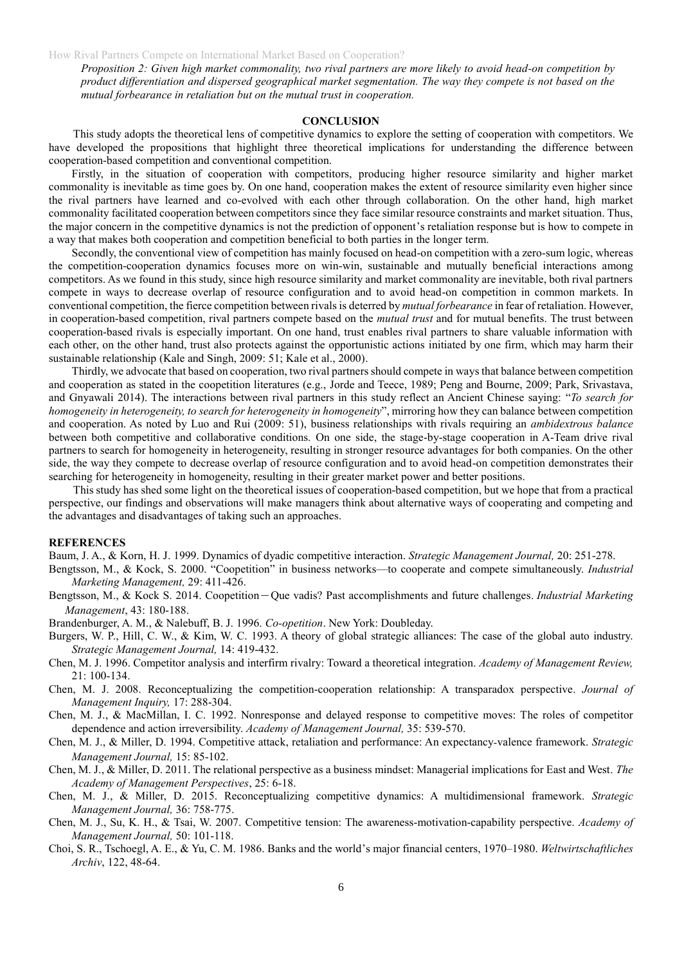*Proposition 2: Given high market commonality, two rival partners are more likely to avoid head-on competition by product differentiation and dispersed geographical market segmentation. The way they compete is not based on the mutual forbearance in retaliation but on the mutual trust in cooperation.*

### **CONCLUSION**

This study adopts the theoretical lens of competitive dynamics to explore the setting of cooperation with competitors. We have developed the propositions that highlight three theoretical implications for understanding the difference between cooperation-based competition and conventional competition.

Firstly, in the situation of cooperation with competitors, producing higher resource similarity and higher market commonality is inevitable as time goes by. On one hand, cooperation makes the extent of resource similarity even higher since the rival partners have learned and co-evolved with each other through collaboration. On the other hand, high market commonality facilitated cooperation between competitors since they face similar resource constraints and market situation. Thus, the major concern in the competitive dynamics is not the prediction of opponent's retaliation response but is how to compete in a way that makes both cooperation and competition beneficial to both parties in the longer term.

Secondly, the conventional view of competition has mainly focused on head-on competition with a zero-sum logic, whereas the competition-cooperation dynamics focuses more on win-win, sustainable and mutually beneficial interactions among competitors. As we found in this study, since high resource similarity and market commonality are inevitable, both rival partners compete in ways to decrease overlap of resource configuration and to avoid head-on competition in common markets. In conventional competition, the fierce competition between rivals is deterred by *mutual forbearance* in fear of retaliation. However, in cooperation-based competition, rival partners compete based on the *mutual trust* and for mutual benefits. The trust between cooperation-based rivals is especially important. On one hand, trust enables rival partners to share valuable information with each other, on the other hand, trust also protects against the opportunistic actions initiated by one firm, which may harm their sustainable relationship (Kale and Singh, 2009: 51; Kale et al., 2000).

Thirdly, we advocate that based on cooperation, two rival partners should compete in waysthat balance between competition and cooperation as stated in the coopetition literatures (e.g., Jorde and Teece, 1989; Peng and Bourne, 2009; Park, Srivastava, and Gnyawali 2014). The interactions between rival partners in this study reflect an Ancient Chinese saying: "*To search for homogeneity in heterogeneity, to search for heterogeneity in homogeneity*", mirroring how they can balance between competition and cooperation. As noted by Luo and Rui (2009: 51), business relationships with rivals requiring an *ambidextrous balance* between both competitive and collaborative conditions. On one side, the stage-by-stage cooperation in A-Team drive rival partners to search for homogeneity in heterogeneity, resulting in stronger resource advantages for both companies. On the other side, the way they compete to decrease overlap of resource configuration and to avoid head-on competition demonstrates their searching for heterogeneity in homogeneity, resulting in their greater market power and better positions.

This study has shed some light on the theoretical issues of cooperation-based competition, but we hope that from a practical perspective, our findings and observations will make managers think about alternative ways of cooperating and competing and the advantages and disadvantages of taking such an approaches.

#### **REFERENCES**

Baum, J. A., & Korn, H. J. 1999. Dynamics of dyadic competitive interaction. *Strategic Management Journal,* 20: 251-278.

- Bengtsson, M., & Kock, S. 2000. "Coopetition" in business networks—to cooperate and compete simultaneously. *Industrial Marketing Management,* 29: 411-426.
- Bengtsson, M., & Kock S. 2014. Coopetition-Que vadis? Past accomplishments and future challenges. *Industrial Marketing Management*, 43: 180-188.
- Brandenburger, A. M., & Nalebuff, B. J. 1996. *Co-opetition*. New York: Doubleday.
- Burgers, W. P., Hill, C. W., & Kim, W. C. 1993. A theory of global strategic alliances: The case of the global auto industry. *Strategic Management Journal,* 14: 419-432.
- Chen, M. J. 1996. Competitor analysis and interfirm rivalry: Toward a theoretical integration. *Academy of Management Review,* 21: 100-134.
- Chen, M. J. 2008. Reconceptualizing the competition-cooperation relationship: A transparadox perspective. *Journal of Management Inquiry,* 17: 288-304.
- Chen, M. J., & MacMillan, I. C. 1992. Nonresponse and delayed response to competitive moves: The roles of competitor dependence and action irreversibility. *Academy of Management Journal,* 35: 539-570.
- Chen, M. J., & Miller, D. 1994. Competitive attack, retaliation and performance: An expectancy‐valence framework. *Strategic Management Journal,* 15: 85-102.
- Chen, M. J., & Miller, D. 2011. The relational perspective as a business mindset: Managerial implications for East and West. *The Academy of Management Perspectives*, 25: 6-18.
- Chen, M. J., & Miller, D. 2015. Reconceptualizing competitive dynamics: A multidimensional framework. *Strategic Management Journal,* 36: 758-775.
- Chen, M. J., Su, K. H., & Tsai, W. 2007. Competitive tension: The awareness-motivation-capability perspective. *Academy of Management Journal,* 50: 101-118.
- Choi, S. R., Tschoegl, A. E., & Yu, C. M. 1986. Banks and the world's major financial centers, 1970–1980. *Weltwirtschaftliches Archiv*, 122, 48-64.